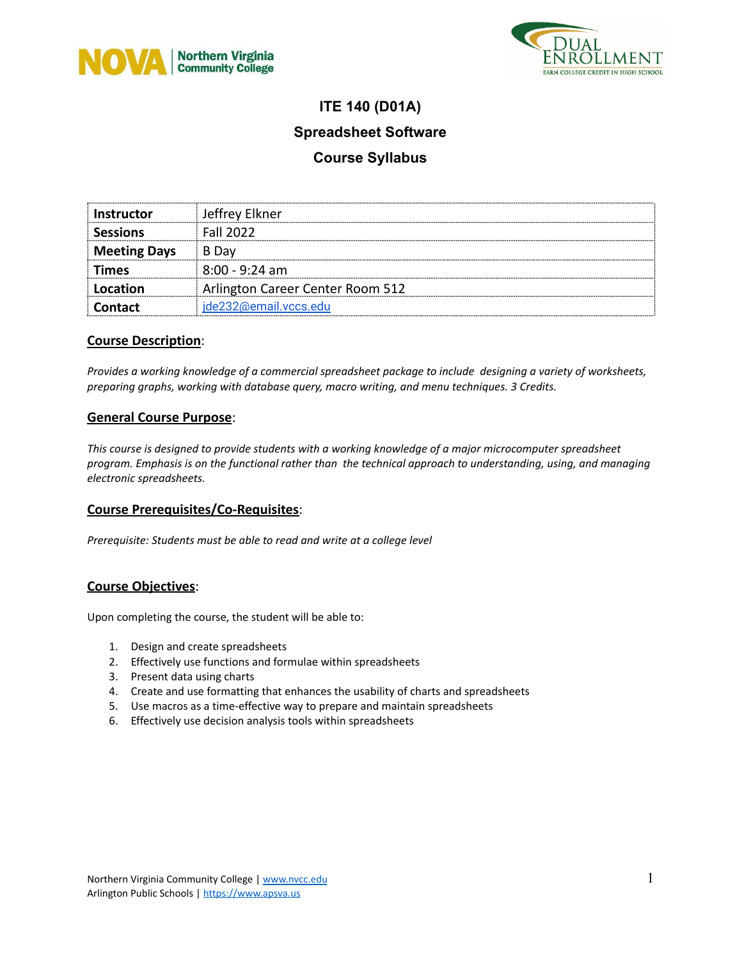



### **Spreadsheet Software**

# **Course Syllabus**

| <b>Instructor</b>   | Jeffrey Elkner                   |  |
|---------------------|----------------------------------|--|
| <b>Sessions</b>     | <b>Fall 2022</b>                 |  |
| <b>Meeting Days</b> | B Dav                            |  |
| <b>Times</b>        | $8:00 - 9:24$ am                 |  |
| Location            | Arlington Career Center Room 512 |  |
| <b>Contact</b>      | ide232@email.vccs.edu            |  |

#### **Course Description**:

*Provides a working knowledge of a commercial spreadsheet package to include designing a variety of worksheets, preparing graphs, working with database query, macro writing, and menu techniques. 3 Credits.*

#### **General Course Purpose**:

*This course is designed to provide students with a working knowledge of a major microcomputer spreadsheet program. Emphasis is on the functional rather than the technical approach to understanding, using, and managing electronic spreadsheets.*

#### **Course Prerequisites/Co-Requisites**:

*Prerequisite: Students must be able to read and write at a college level*

#### **Course Objectives**:

Upon completing the course, the student will be able to:

- 1. Design and create spreadsheets
- 2. Effectively use functions and formulae within spreadsheets
- 3. Present data using charts
- 4. Create and use formatting that enhances the usability of charts and spreadsheets
- 5. Use macros as a time-effective way to prepare and maintain spreadsheets
- 6. Effectively use decision analysis tools within spreadsheets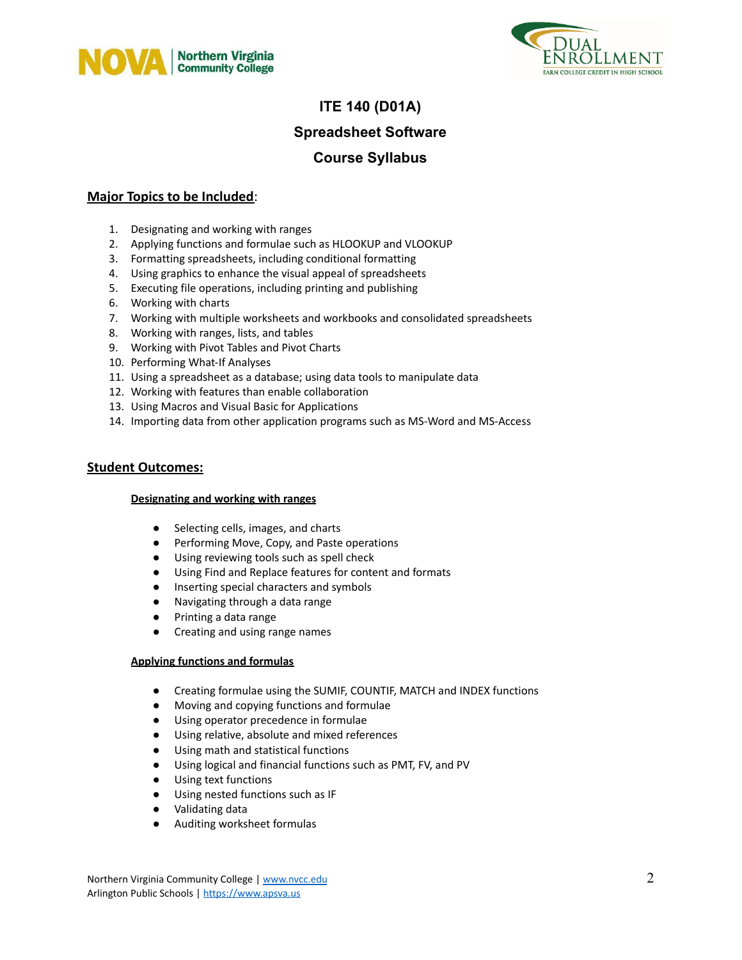



# **ITE 140 (D01A) Spreadsheet Software Course Syllabus**

#### **Major Topics to be Included**:

- 1. Designating and working with ranges
- 2. Applying functions and formulae such as HLOOKUP and VLOOKUP
- 3. Formatting spreadsheets, including conditional formatting
- 4. Using graphics to enhance the visual appeal of spreadsheets
- 5. Executing file operations, including printing and publishing
- 6. Working with charts
- 7. Working with multiple worksheets and workbooks and consolidated spreadsheets
- 8. Working with ranges, lists, and tables
- 9. Working with Pivot Tables and Pivot Charts
- 10. Performing What-If Analyses
- 11. Using a spreadsheet as a database; using data tools to manipulate data
- 12. Working with features than enable collaboration
- 13. Using Macros and Visual Basic for Applications
- 14. Importing data from other application programs such as MS-Word and MS-Access

#### **Student Outcomes:**

#### **Designating and working with ranges**

- Selecting cells, images, and charts
- Performing Move, Copy, and Paste operations
- Using reviewing tools such as spell check
- Using Find and Replace features for content and formats
- Inserting special characters and symbols
- Navigating through a data range
- Printing a data range
- Creating and using range names

#### **Applying functions and formulas**

- Creating formulae using the SUMIF, COUNTIF, MATCH and INDEX functions
- Moving and copying functions and formulae
- Using operator precedence in formulae
- Using relative, absolute and mixed references
- Using math and statistical functions
- Using logical and financial functions such as PMT, FV, and PV
- Using text functions
- Using nested functions such as IF
- Validating data
- Auditing worksheet formulas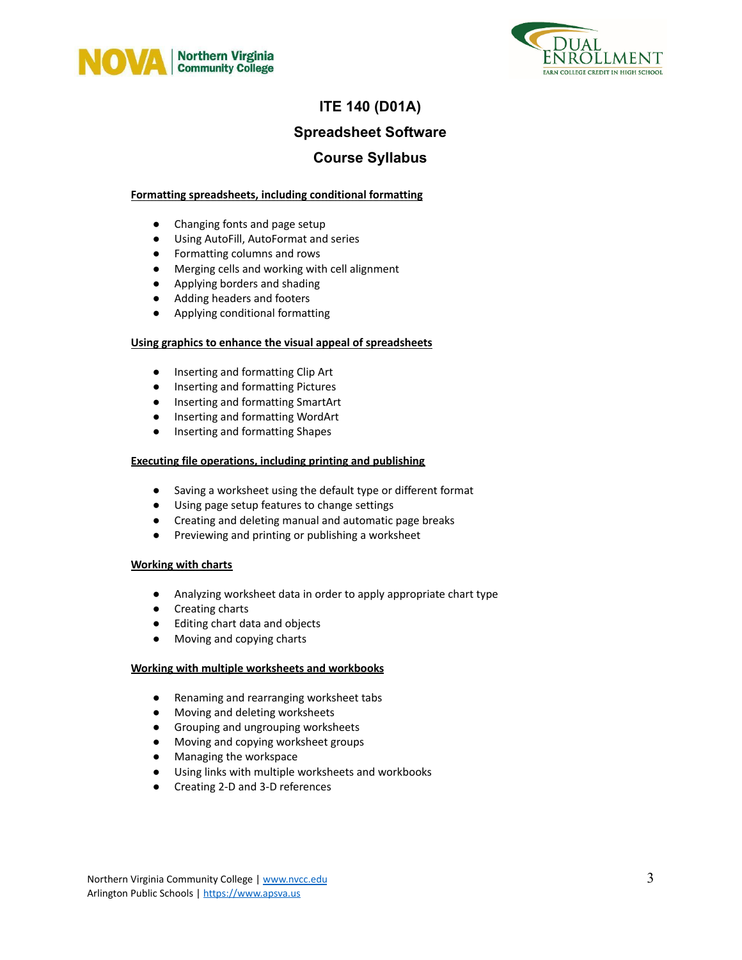



## **Spreadsheet Software**

# **Course Syllabus**

#### **Formatting spreadsheets, including conditional formatting**

- Changing fonts and page setup
- Using AutoFill, AutoFormat and series
- Formatting columns and rows
- Merging cells and working with cell alignment
- Applying borders and shading
- Adding headers and footers
- Applying conditional formatting

#### **Using graphics to enhance the visual appeal of spreadsheets**

- Inserting and formatting Clip Art
- Inserting and formatting Pictures
- Inserting and formatting SmartArt
- Inserting and formatting WordArt
- Inserting and formatting Shapes

#### **Executing file operations, including printing and publishing**

- Saving a worksheet using the default type or different format
- Using page setup features to change settings
- Creating and deleting manual and automatic page breaks
- Previewing and printing or publishing a worksheet

#### **Working with charts**

- Analyzing worksheet data in order to apply appropriate chart type
- Creating charts
- Editing chart data and objects
- Moving and copying charts

#### **Working with multiple worksheets and workbooks**

- Renaming and rearranging worksheet tabs
- Moving and deleting worksheets
- Grouping and ungrouping worksheets
- Moving and copying worksheet groups
- Managing the workspace
- Using links with multiple worksheets and workbooks
- Creating 2-D and 3-D references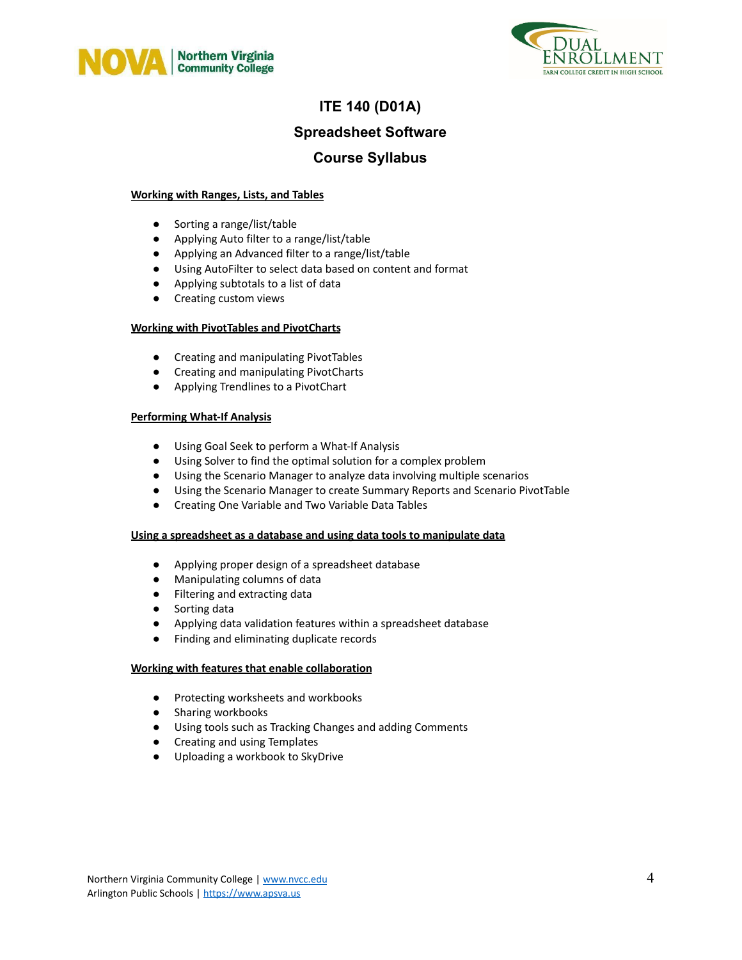



# **Spreadsheet Software**

# **Course Syllabus**

#### **Working with Ranges, Lists, and Tables**

- Sorting a range/list/table
- Applying Auto filter to a range/list/table
- Applying an Advanced filter to a range/list/table
- Using AutoFilter to select data based on content and format
- Applying subtotals to a list of data
- Creating custom views

#### **Working with PivotTables and PivotCharts**

- Creating and manipulating PivotTables
- Creating and manipulating PivotCharts
- Applying Trendlines to a PivotChart

#### **Performing What-If Analysis**

- Using Goal Seek to perform a What-If Analysis
- Using Solver to find the optimal solution for a complex problem
- Using the Scenario Manager to analyze data involving multiple scenarios
- Using the Scenario Manager to create Summary Reports and Scenario PivotTable
- Creating One Variable and Two Variable Data Tables

#### **Using a spreadsheet as a database and using data tools to manipulate data**

- Applying proper design of a spreadsheet database
- Manipulating columns of data
- Filtering and extracting data
- Sorting data
- Applying data validation features within a spreadsheet database
- Finding and eliminating duplicate records

#### **Working with features that enable collaboration**

- Protecting worksheets and workbooks
- Sharing workbooks
- Using tools such as Tracking Changes and adding Comments
- Creating and using Templates
- Uploading a workbook to SkyDrive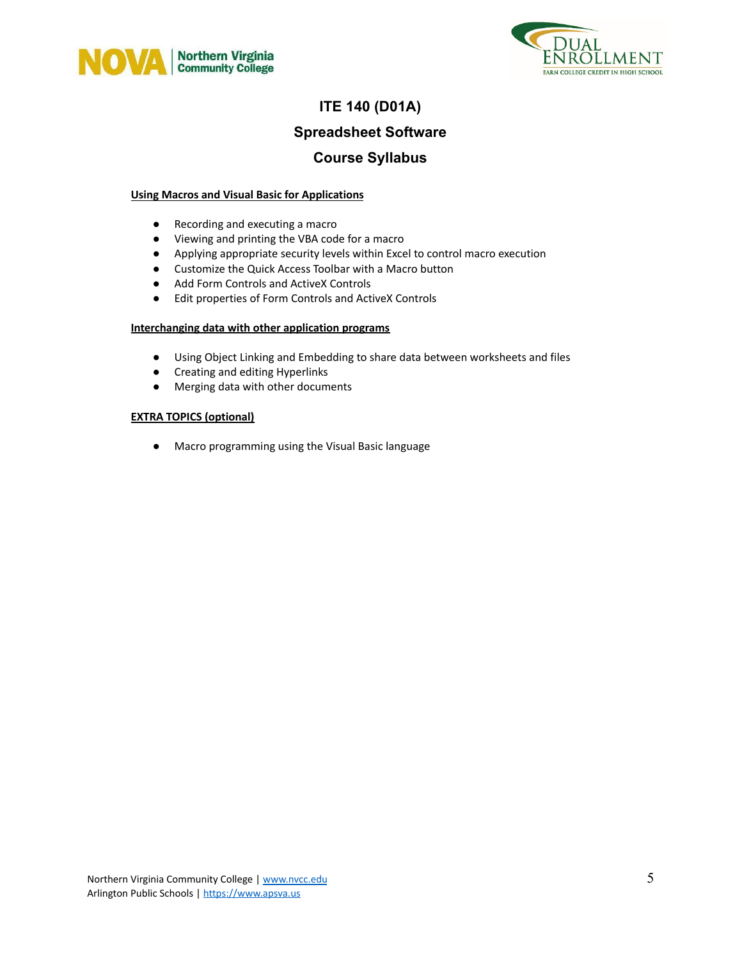



## **Spreadsheet Software**

# **Course Syllabus**

#### **Using Macros and Visual Basic for Applications**

- Recording and executing a macro
- Viewing and printing the VBA code for a macro
- Applying appropriate security levels within Excel to control macro execution
- Customize the Quick Access Toolbar with a Macro button
- Add Form Controls and ActiveX Controls
- Edit properties of Form Controls and ActiveX Controls

#### **Interchanging data with other application programs**

- Using Object Linking and Embedding to share data between worksheets and files
- Creating and editing Hyperlinks
- Merging data with other documents

#### **EXTRA TOPICS (optional)**

● Macro programming using the Visual Basic language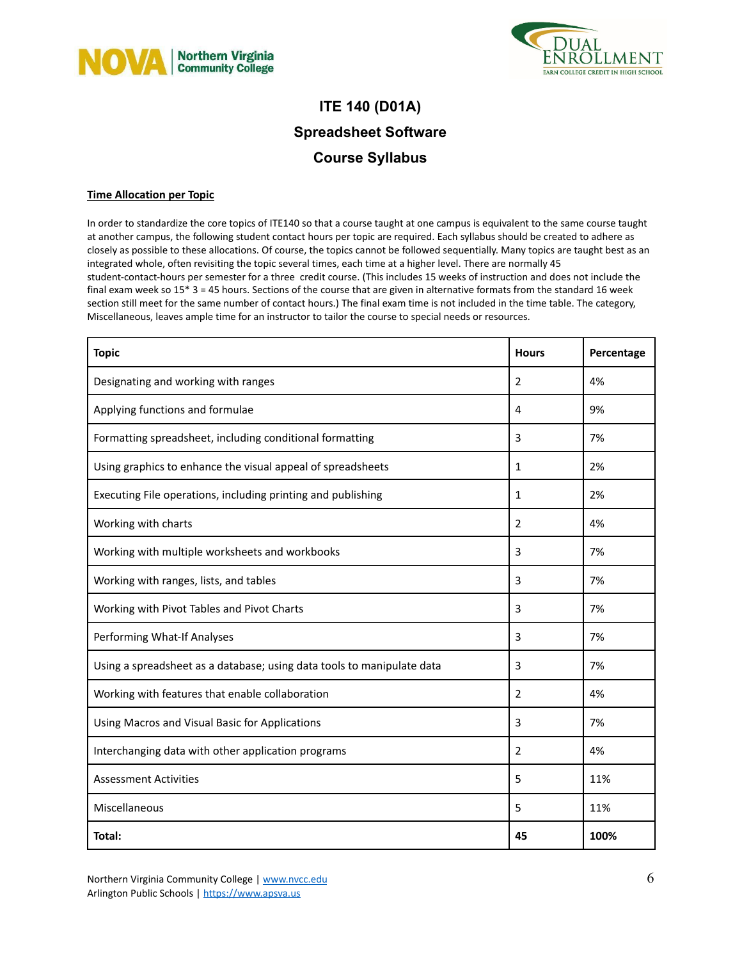



# **ITE 140 (D01A) Spreadsheet Software Course Syllabus**

#### **Time Allocation per Topic**

In order to standardize the core topics of ITE140 so that a course taught at one campus is equivalent to the same course taught at another campus, the following student contact hours per topic are required. Each syllabus should be created to adhere as closely as possible to these allocations. Of course, the topics cannot be followed sequentially. Many topics are taught best as an integrated whole, often revisiting the topic several times, each time at a higher level. There are normally 45 student-contact-hours per semester for a three credit course. (This includes 15 weeks of instruction and does not include the final exam week so 15\* 3 = 45 hours. Sections of the course that are given in alternative formats from the standard 16 week section still meet for the same number of contact hours.) The final exam time is not included in the time table. The category, Miscellaneous, leaves ample time for an instructor to tailor the course to special needs or resources.

| <b>Topic</b>                                                           |                | Percentage |
|------------------------------------------------------------------------|----------------|------------|
| Designating and working with ranges                                    |                | 4%         |
| Applying functions and formulae                                        |                | 9%         |
| Formatting spreadsheet, including conditional formatting               |                | 7%         |
| Using graphics to enhance the visual appeal of spreadsheets            |                | 2%         |
| Executing File operations, including printing and publishing           |                | 2%         |
| Working with charts                                                    |                | 4%         |
| Working with multiple worksheets and workbooks                         |                | 7%         |
| Working with ranges, lists, and tables                                 |                | 7%         |
| Working with Pivot Tables and Pivot Charts                             |                | 7%         |
| Performing What-If Analyses                                            |                | 7%         |
| Using a spreadsheet as a database; using data tools to manipulate data |                | 7%         |
| Working with features that enable collaboration                        | $\overline{2}$ | 4%         |
| Using Macros and Visual Basic for Applications                         | 3              | 7%         |
| Interchanging data with other application programs                     | 2              | 4%         |
| <b>Assessment Activities</b>                                           | 5              | 11%        |
| Miscellaneous                                                          | 5              | 11%        |
| Total:                                                                 |                | 100%       |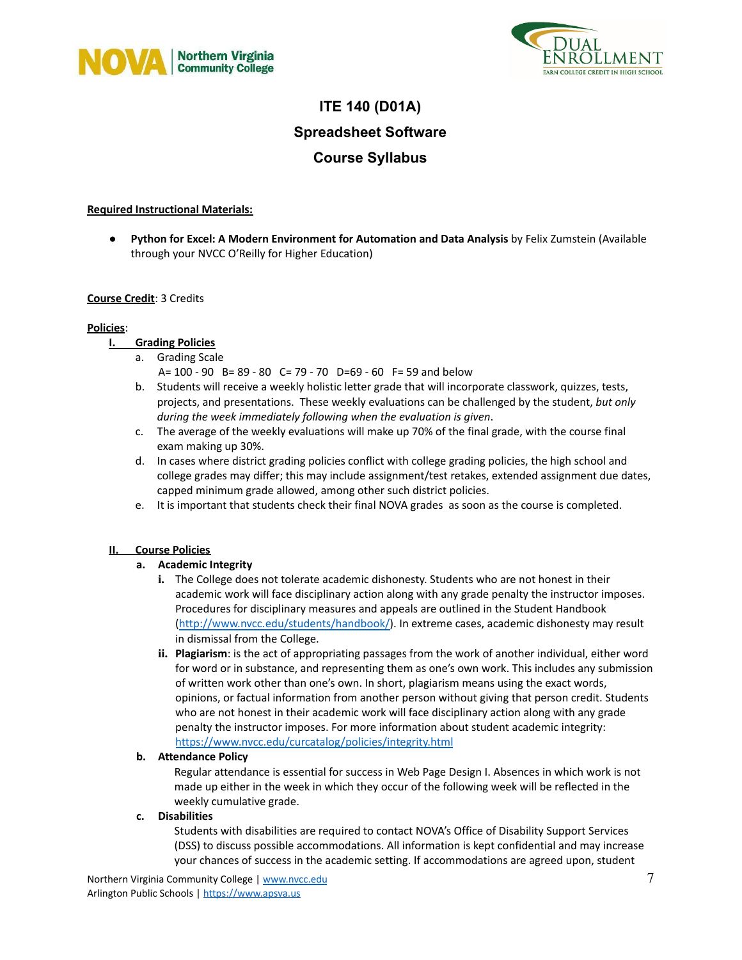



# **ITE 140 (D01A) Spreadsheet Software Course Syllabus**

#### **Required Instructional Materials:**

● **Python for Excel: A Modern Environment for Automation and Data Analysis** by Felix Zumstein (Available through your NVCC O'Reilly for Higher Education)

#### **Course Credit**: 3 Credits

#### **Policies**:

#### **I. Grading Policies**

- a. Grading Scale
	- A= 100 90 B= 89 80 C= 79 70 D=69 60 F= 59 and below
- b. Students will receive a weekly holistic letter grade that will incorporate classwork, quizzes, tests, projects, and presentations. These weekly evaluations can be challenged by the student, *but only during the week immediately following when the evaluation is given*.
- c. The average of the weekly evaluations will make up 70% of the final grade, with the course final exam making up 30%.
- d. In cases where district grading policies conflict with college grading policies, the high school and college grades may differ; this may include assignment/test retakes, extended assignment due dates, capped minimum grade allowed, among other such district policies.
- e. It is important that students check their final NOVA grades as soon as the course is completed.

#### **II. Course Policies**

#### **a. Academic Integrity**

- **i.** The College does not tolerate academic dishonesty. Students who are not honest in their academic work will face disciplinary action along with any grade penalty the instructor imposes. Procedures for disciplinary measures and appeals are outlined in the Student Handbook ([http://www.nvcc.edu/students/handbook/\)](http://www.nvcc.edu/students/handbook/). In extreme cases, academic dishonesty may result in dismissal from the College.
- **ii. Plagiarism**: is the act of appropriating passages from the work of another individual, either word for word or in substance, and representing them as one's own work. This includes any submission of written work other than one's own. In short, plagiarism means using the exact words, opinions, or factual information from another person without giving that person credit. Students who are not honest in their academic work will face disciplinary action along with any grade penalty the instructor imposes. For more information about student academic integrity: <https://www.nvcc.edu/curcatalog/policies/integrity.html>

#### **b. Attendance Policy**

Regular attendance is essential for success in Web Page Design I. Absences in which work is not made up either in the week in which they occur of the following week will be reflected in the weekly cumulative grade.

#### **c. Disabilities**

Students with disabilities are required to contact NOVA's Office of Disability Support Services (DSS) to discuss possible accommodations. All information is kept confidential and may increase your chances of success in the academic setting. If accommodations are agreed upon, student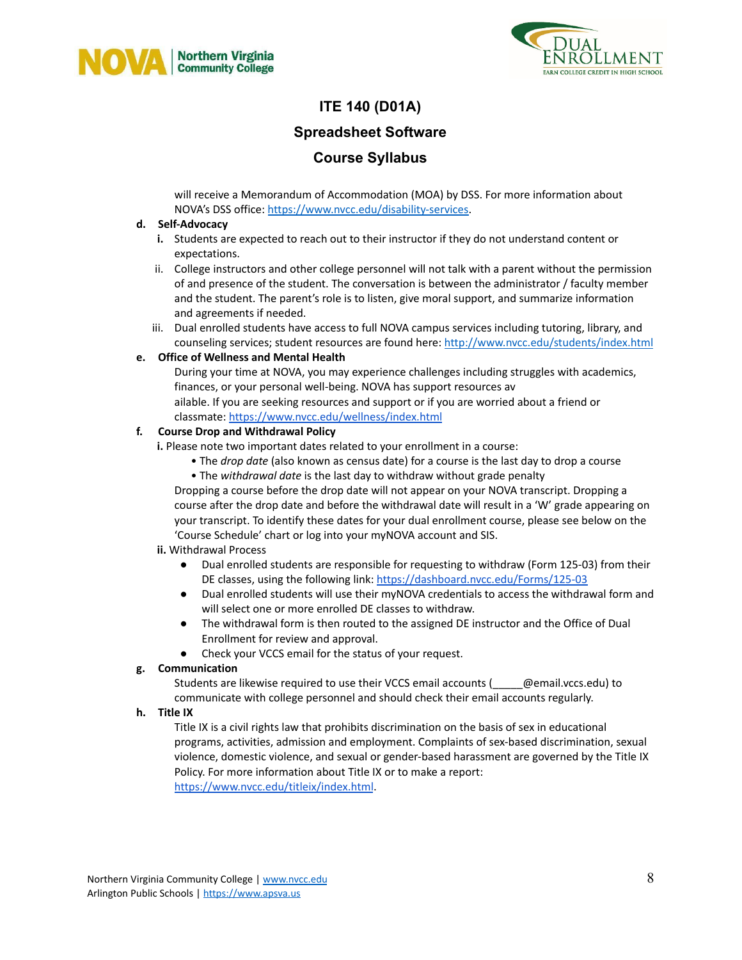



### **Spreadsheet Software**

## **Course Syllabus**

will receive a Memorandum of Accommodation (MOA) by DSS. For more information about NOVA's DSS office: [https://www.nvcc.edu/disability-services.](https://www.nvcc.edu/disability-services)

#### **d. Self-Advocacy**

- **i.** Students are expected to reach out to their instructor if they do not understand content or expectations.
- ii. College instructors and other college personnel will not talk with a parent without the permission of and presence of the student. The conversation is between the administrator / faculty member and the student. The parent's role is to listen, give moral support, and summarize information and agreements if needed.
- iii. Dual enrolled students have access to full NOVA campus services including tutoring, library, and counseling services; student resources are found here: <http://www.nvcc.edu/students/index.html>

#### **e. Office of Wellness and Mental Health**

During your time at NOVA, you may experience challenges including struggles with academics, finances, or your personal well-being. NOVA has support resources av ailable. If you are seeking resources and support or if you are worried about a friend or classmate: <https://www.nvcc.edu/wellness/index.html>

#### **f. Course Drop and Withdrawal Policy**

**i.** Please note two important dates related to your enrollment in a course:

- The *drop date* (also known as census date) for a course is the last day to drop a course
- The *withdrawal date* is the last day to withdraw without grade penalty

Dropping a course before the drop date will not appear on your NOVA transcript. Dropping a course after the drop date and before the withdrawal date will result in a 'W' grade appearing on your transcript. To identify these dates for your dual enrollment course, please see below on the 'Course Schedule' chart or log into your myNOVA account and SIS.

#### **ii.** Withdrawal Process

- Dual enrolled students are responsible for requesting to withdraw (Form 125-03) from their DE classes, using the following link: <https://dashboard.nvcc.edu/Forms/125-03>
- Dual enrolled students will use their myNOVA credentials to access the withdrawal form and will select one or more enrolled DE classes to withdraw.
- The withdrawal form is then routed to the assigned DE instructor and the Office of Dual Enrollment for review and approval.
- Check your VCCS email for the status of your request.

#### **g. Communication**

Students are likewise required to use their VCCS email accounts ( @email.vccs.edu) to communicate with college personnel and should check their email accounts regularly.

#### **h. Title IX**

Title IX is a civil rights law that prohibits discrimination on the basis of sex in educational programs, activities, admission and employment. Complaints of sex-based discrimination, sexual violence, domestic violence, and sexual or gender-based harassment are governed by the Title IX Policy. For more information about Title IX or to make a report: <https://www.nvcc.edu/titleix/index.html>.